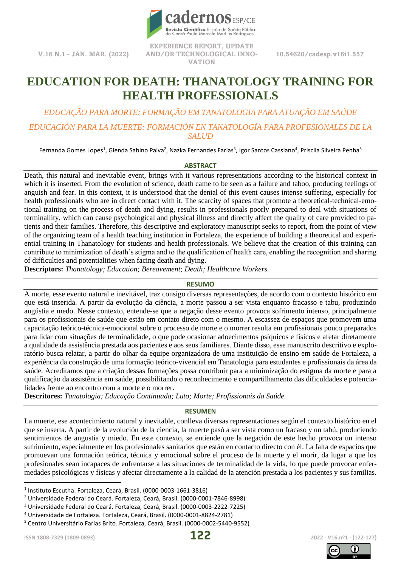

**V.16 N.1 - JAN. MAR. (2022)**

**EXPERIENCE REPORT, UPDATE AND/OR TECHNOLOGICAL INNO-VATION**

**10.54620/cadesp.v16i1.557**

# **EDUCATION FOR DEATH: THANATOLOGY TRAINING FOR HEALTH PROFESSIONALS**

*EDUCAÇÃO PARA MORTE: FORMAÇÃO EM TANATOLOGIA PARA ATUAÇÃO EM SAÚDE EDUCACIÓN PARA LA MUERTE: FORMACIÓN EN TANATOLOGÍA PARA PROFESIONALES DE LA SALUD*

Fernanda Gomes Lopes<sup>1</sup>, Glenda Sabino Paiva<sup>2</sup>, Nazka Fernandes Farias<sup>3</sup>, Igor Santos Cassiano<sup>4</sup>, Priscila Silveira Penha<sup>5</sup>

#### **ABSTRACT**

Death, this natural and inevitable event, brings with it various representations according to the historical context in which it is inserted. From the evolution of science, death came to be seen as a failure and taboo, producing feelings of anguish and fear. In this context, it is understood that the denial of this event causes intense suffering, especially for health professionals who are in direct contact with it. The scarcity of spaces that promote a theoretical-technical-emotional training on the process of death and dying, results in professionals poorly prepared to deal with situations of terminallity, which can cause psychological and physical illness and directly affect the quality of care provided to patients and their families. Therefore, this descriptive and exploratory manuscript seeks to report, from the point of view of the organizing team of a health teaching institution in Fortaleza, the experience of building a theoretical and experiential training in Thanatology for students and health professionals. We believe that the creation of this training can contribute to minimization of death's stigma and to the qualification of health care, enabling the recognition and sharing of difficulties and potentialities when facing death and dying.

**Descriptors:** *Thanatology; Education; Bereavement; Death; Healthcare Workers.*

#### **RESUMO**

A morte, esse evento natural e inevitável, traz consigo diversas representações, de acordo com o contexto histórico em que está inserida. A partir da evolução da ciência, a morte passou a ser vista enquanto fracasso e tabu, produzindo angústia e medo. Nesse contexto, entende-se que a negação desse evento provoca sofrimento intenso, principalmente para os profissionais de saúde que estão em contato direto com o mesmo. A escassez de espaços que promovem uma capacitação teórico-técnica-emocional sobre o processo de morte e o morrer resulta em profissionais pouco preparados para lidar com situações de terminalidade, o que pode ocasionar adoecimentos psíquicos e físicos e afetar diretamente a qualidade da assistência prestada aos pacientes e aos seus familiares. Diante disso, esse manuscrito descritivo e exploratório busca relatar, a partir do olhar da equipe organizadora de uma instituição de ensino em saúde de Fortaleza, a experiência da construção de uma formação teórico-vivencial em Tanatologia para estudantes e profissionais da área da saúde. Acreditamos que a criação dessas formações possa contribuir para a minimização do estigma da morte e para a qualificação da assistência em saúde, possibilitando o reconhecimento e compartilhamento das dificuldades e potencialidades frente ao encontro com a morte e o morrer.

**Descritores:** *Tanatologia; Educação Continuada; Luto; Morte; Profissionais da Saúde.*

#### **RESUMEN**

La muerte, ese acontecimiento natural y inevitable, conlleva diversas representaciones según el contexto histórico en el que se inserta. A partir de la evolución de la ciencia, la muerte pasó a ser vista como un fracaso y un tabú, produciendo sentimientos de angustia y miedo. En este contexto, se entiende que la negación de este hecho provoca un intenso sufrimiento, especialmente en los profesionales sanitarios que están en contacto directo con él. La falta de espacios que promuevan una formación teórica, técnica y emocional sobre el proceso de la muerte y el morir, da lugar a que los profesionales sean incapaces de enfrentarse a las situaciones de terminalidad de la vida, lo que puede provocar enfermedades psicológicas y físicas y afectar directamente a la calidad de la atención prestada a los pacientes y sus familias.





<sup>1</sup> Instituto Escutha. Fortaleza, Ceará, Brasil. (0000-0003-1661-3816)

<sup>2</sup> Universidade Federal do Ceará. Fortaleza, Ceará, Brasil. (0000-0001-7846-8998)

<sup>3</sup> Universidade Federal do Ceará. Fortaleza, Ceará, Brasil. (0000-0003-2222-7225)

<sup>4</sup> Universidade de Fortaleza. Fortaleza, Ceará, Brasil. (0000-0001-8824-2781)

<sup>5</sup> Centro Universitário Farias Brito. Fortaleza, Ceará, Brasil. (0000-0002-5440-9552)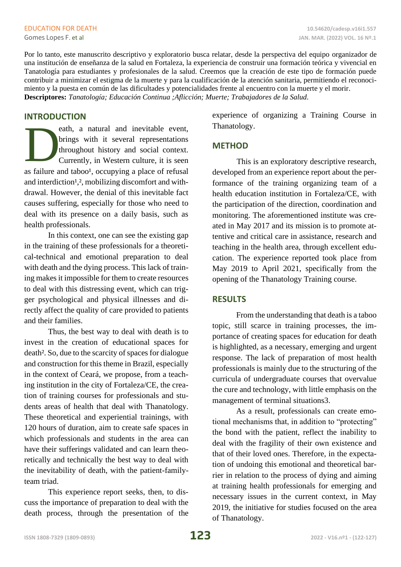Por lo tanto, este manuscrito descriptivo y exploratorio busca relatar, desde la perspectiva del equipo organizador de una institución de enseñanza de la salud en Fortaleza, la experiencia de construir una formación teórica y vivencial en Tanatología para estudiantes y profesionales de la salud. Creemos que la creación de este tipo de formación puede contribuir a minimizar el estigma de la muerte y para la cualificación de la atención sanitaria, permitiendo el reconocimiento y la puesta en común de las dificultades y potencialidades frente al encuentro con la muerte y el morir. **Descriptores:** *Tanatología; Educación Continua ;Aflicción; Muerte; Trabajadores de la Salud.*

### **INTRODUCTION**

eath, a natural and inevitable event, brings with it several representations throughout history and social context. Currently, in Western culture, it is seen as failure and taboo<sup>1</sup>, occupying a place of refusal and interdiction<sup>1</sup>,<sup>2</sup>, mobilizing discomfort and withdrawal. However, the denial of this inevitable fact causes suffering, especially for those who need to deal with its presence on a daily basis, such as health professionals. D

In this context, one can see the existing gap in the training of these professionals for a theoretical-technical and emotional preparation to deal with death and the dying process. This lack of training makes it impossible for them to create resources to deal with this distressing event, which can trigger psychological and physical illnesses and directly affect the quality of care provided to patients and their families.

Thus, the best way to deal with death is to invest in the creation of educational spaces for death². So, due to the scarcity of spaces for dialogue and construction for this theme in Brazil, especially in the context of Ceará, we propose, from a teaching institution in the city of Fortaleza/CE, the creation of training courses for professionals and students areas of health that deal with Thanatology. These theoretical and experiential trainings, with 120 hours of duration, aim to create safe spaces in which professionals and students in the area can have their sufferings validated and can learn theoretically and technically the best way to deal with the inevitability of death, with the patient-familyteam triad.

This experience report seeks, then, to discuss the importance of preparation to deal with the death process, through the presentation of the experience of organizing a Training Course in Thanatology.

## **METHOD**

This is an exploratory descriptive research, developed from an experience report about the performance of the training organizing team of a health education institution in Fortaleza/CE, with the participation of the direction, coordination and monitoring. The aforementioned institute was created in May 2017 and its mission is to promote attentive and critical care in assistance, research and teaching in the health area, through excellent education. The experience reported took place from May 2019 to April 2021, specifically from the opening of the Thanatology Training course.

## **RESULTS**

From the understanding that death is a taboo topic, still scarce in training processes, the importance of creating spaces for education for death is highlighted, as a necessary, emerging and urgent response. The lack of preparation of most health professionals is mainly due to the structuring of the curricula of undergraduate courses that overvalue the cure and technology, with little emphasis on the management of terminal situations3.

As a result, professionals can create emotional mechanisms that, in addition to "protecting" the bond with the patient, reflect the inability to deal with the fragility of their own existence and that of their loved ones. Therefore, in the expectation of undoing this emotional and theoretical barrier in relation to the process of dying and aiming at training health professionals for emerging and necessary issues in the current context, in May 2019, the initiative for studies focused on the area of Thanatology.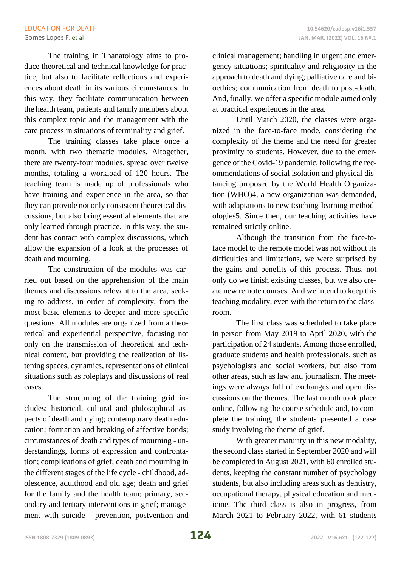The training in Thanatology aims to produce theoretical and technical knowledge for practice, but also to facilitate reflections and experiences about death in its various circumstances. In this way, they facilitate communication between the health team, patients and family members about this complex topic and the management with the care process in situations of terminality and grief.

The training classes take place once a month, with two thematic modules. Altogether, there are twenty-four modules, spread over twelve months, totaling a workload of 120 hours. The teaching team is made up of professionals who have training and experience in the area, so that they can provide not only consistent theoretical discussions, but also bring essential elements that are only learned through practice. In this way, the student has contact with complex discussions, which allow the expansion of a look at the processes of death and mourning.

The construction of the modules was carried out based on the apprehension of the main themes and discussions relevant to the area, seeking to address, in order of complexity, from the most basic elements to deeper and more specific questions. All modules are organized from a theoretical and experiential perspective, focusing not only on the transmission of theoretical and technical content, but providing the realization of listening spaces, dynamics, representations of clinical situations such as roleplays and discussions of real cases.

The structuring of the training grid includes: historical, cultural and philosophical aspects of death and dying; contemporary death education; formation and breaking of affective bonds; circumstances of death and types of mourning - understandings, forms of expression and confrontation; complications of grief; death and mourning in the different stages of the life cycle - childhood, adolescence, adulthood and old age; death and grief for the family and the health team; primary, secondary and tertiary interventions in grief; management with suicide - prevention, postvention and clinical management; handling in urgent and emergency situations; spirituality and religiosity in the approach to death and dying; palliative care and bioethics; communication from death to post-death. And, finally, we offer a specific module aimed only at practical experiences in the area.

Until March 2020, the classes were organized in the face-to-face mode, considering the complexity of the theme and the need for greater proximity to students. However, due to the emergence of the Covid-19 pandemic, following the recommendations of social isolation and physical distancing proposed by the World Health Organization (WHO)4, a new organization was demanded, with adaptations to new teaching-learning methodologies5. Since then, our teaching activities have remained strictly online.

Although the transition from the face-toface model to the remote model was not without its difficulties and limitations, we were surprised by the gains and benefits of this process. Thus, not only do we finish existing classes, but we also create new remote courses. And we intend to keep this teaching modality, even with the return to the classroom.

The first class was scheduled to take place in person from May 2019 to April 2020, with the participation of 24 students. Among those enrolled, graduate students and health professionals, such as psychologists and social workers, but also from other areas, such as law and journalism. The meetings were always full of exchanges and open discussions on the themes. The last month took place online, following the course schedule and, to complete the training, the students presented a case study involving the theme of grief.

With greater maturity in this new modality, the second class started in September 2020 and will be completed in August 2021, with 60 enrolled students, keeping the constant number of psychology students, but also including areas such as dentistry, occupational therapy, physical education and medicine. The third class is also in progress, from March 2021 to February 2022, with 61 students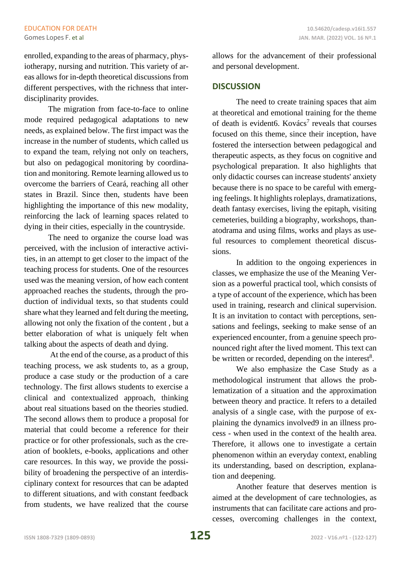enrolled, expanding to the areas of pharmacy, physiotherapy, nursing and nutrition. This variety of areas allows for in-depth theoretical discussions from different perspectives, with the richness that interdisciplinarity provides.

The migration from face-to-face to online mode required pedagogical adaptations to new needs, as explained below. The first impact was the increase in the number of students, which called us to expand the team, relying not only on teachers, but also on pedagogical monitoring by coordination and monitoring. Remote learning allowed us to overcome the barriers of Ceará, reaching all other states in Brazil. Since then, students have been highlighting the importance of this new modality, reinforcing the lack of learning spaces related to dying in their cities, especially in the countryside.

The need to organize the course load was perceived, with the inclusion of interactive activities, in an attempt to get closer to the impact of the teaching process for students. One of the resources used was the meaning version, of how each content approached reaches the students, through the production of individual texts, so that students could share what they learned and felt during the meeting, allowing not only the fixation of the content , but a better elaboration of what is uniquely felt when talking about the aspects of death and dying.

At the end of the course, as a product of this teaching process, we ask students to, as a group, produce a case study or the production of a care technology. The first allows students to exercise a clinical and contextualized approach, thinking about real situations based on the theories studied. The second allows them to produce a proposal for material that could become a reference for their practice or for other professionals, such as the creation of booklets, e-books, applications and other care resources. In this way, we provide the possibility of broadening the perspective of an interdisciplinary context for resources that can be adapted to different situations, and with constant feedback from students, we have realized that the course

allows for the advancement of their professional and personal development.

# **DISCUSSION**

The need to create training spaces that aim at theoretical and emotional training for the theme of death is evident6. Kovács<sup>7</sup> reveals that courses focused on this theme, since their inception, have fostered the intersection between pedagogical and therapeutic aspects, as they focus on cognitive and psychological preparation. It also highlights that only didactic courses can increase students' anxiety because there is no space to be careful with emerging feelings. It highlights roleplays, dramatizations, death fantasy exercises, living the epitaph, visiting cemeteries, building a biography, workshops, thanatodrama and using films, works and plays as useful resources to complement theoretical discussions.

In addition to the ongoing experiences in classes, we emphasize the use of the Meaning Version as a powerful practical tool, which consists of a type of account of the experience, which has been used in training, research and clinical supervision. It is an invitation to contact with perceptions, sensations and feelings, seeking to make sense of an experienced encounter, from a genuine speech pronounced right after the lived moment. This text can be written or recorded, depending on the interest<sup>8</sup>.

We also emphasize the Case Study as a methodological instrument that allows the problematization of a situation and the approximation between theory and practice. It refers to a detailed analysis of a single case, with the purpose of explaining the dynamics involved9 in an illness process - when used in the context of the health area. Therefore, it allows one to investigate a certain phenomenon within an everyday context, enabling its understanding, based on description, explanation and deepening.

Another feature that deserves mention is aimed at the development of care technologies, as instruments that can facilitate care actions and processes, overcoming challenges in the context,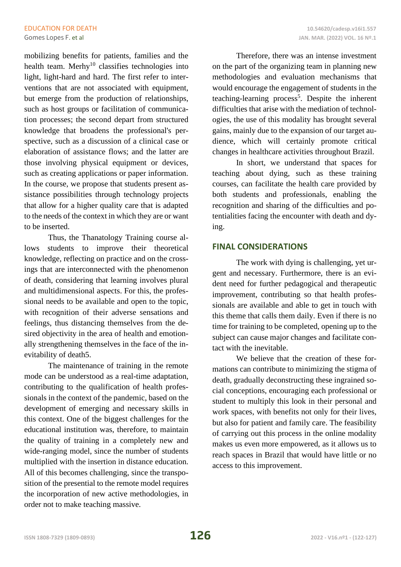mobilizing benefits for patients, families and the health team. Merhy<sup>10</sup> classifies technologies into light, light-hard and hard. The first refer to interventions that are not associated with equipment, but emerge from the production of relationships, such as host groups or facilitation of communication processes; the second depart from structured knowledge that broadens the professional's perspective, such as a discussion of a clinical case or elaboration of assistance flows; and the latter are those involving physical equipment or devices, such as creating applications or paper information. In the course, we propose that students present assistance possibilities through technology projects that allow for a higher quality care that is adapted to the needs of the context in which they are or want to be inserted.

Thus, the Thanatology Training course allows students to improve their theoretical knowledge, reflecting on practice and on the crossings that are interconnected with the phenomenon of death, considering that learning involves plural and multidimensional aspects. For this, the professional needs to be available and open to the topic, with recognition of their adverse sensations and feelings, thus distancing themselves from the desired objectivity in the area of health and emotionally strengthening themselves in the face of the inevitability of death5.

The maintenance of training in the remote mode can be understood as a real-time adaptation, contributing to the qualification of health professionals in the context of the pandemic, based on the development of emerging and necessary skills in this context. One of the biggest challenges for the educational institution was, therefore, to maintain the quality of training in a completely new and wide-ranging model, since the number of students multiplied with the insertion in distance education. All of this becomes challenging, since the transposition of the presential to the remote model requires the incorporation of new active methodologies, in order not to make teaching massive.

Therefore, there was an intense investment on the part of the organizing team in planning new methodologies and evaluation mechanisms that would encourage the engagement of students in the teaching-learning process<sup>5</sup>. Despite the inherent difficulties that arise with the mediation of technologies, the use of this modality has brought several gains, mainly due to the expansion of our target audience, which will certainly promote critical changes in healthcare activities throughout Brazil.

In short, we understand that spaces for teaching about dying, such as these training courses, can facilitate the health care provided by both students and professionals, enabling the recognition and sharing of the difficulties and potentialities facing the encounter with death and dying.

## **FINAL CONSIDERATIONS**

The work with dying is challenging, yet urgent and necessary. Furthermore, there is an evident need for further pedagogical and therapeutic improvement, contributing so that health professionals are available and able to get in touch with this theme that calls them daily. Even if there is no time for training to be completed, opening up to the subject can cause major changes and facilitate contact with the inevitable.

We believe that the creation of these formations can contribute to minimizing the stigma of death, gradually deconstructing these ingrained social conceptions, encouraging each professional or student to multiply this look in their personal and work spaces, with benefits not only for their lives, but also for patient and family care. The feasibility of carrying out this process in the online modality makes us even more empowered, as it allows us to reach spaces in Brazil that would have little or no access to this improvement.